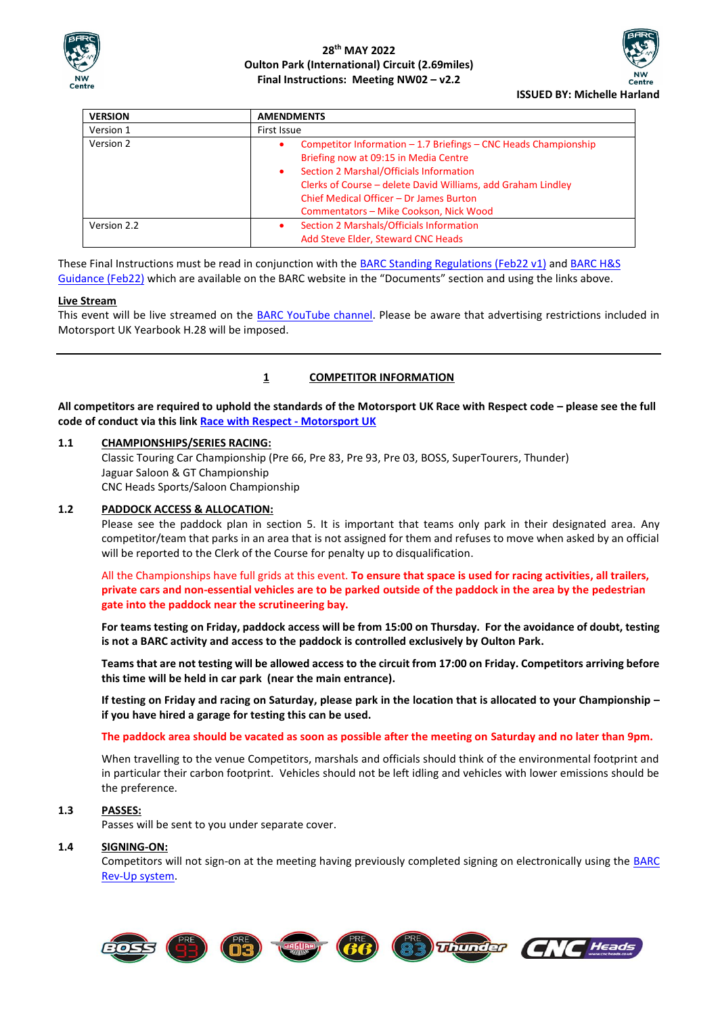



| <b>VERSION</b> | <b>AMENDMENTS</b>                                                                                                                                                                                                                                                                                                  |  |  |
|----------------|--------------------------------------------------------------------------------------------------------------------------------------------------------------------------------------------------------------------------------------------------------------------------------------------------------------------|--|--|
| Version 1      | First Issue                                                                                                                                                                                                                                                                                                        |  |  |
| Version 2      | Competitor Information - 1.7 Briefings - CNC Heads Championship<br>٠<br>Briefing now at 09:15 in Media Centre<br>Section 2 Marshal/Officials Information<br>٠<br>Clerks of Course – delete David Williams, add Graham Lindley<br>Chief Medical Officer - Dr James Burton<br>Commentators - Mike Cookson, Nick Wood |  |  |
| Version 2.2    | Section 2 Marshals/Officials Information<br>٠<br>Add Steve Elder, Steward CNC Heads                                                                                                                                                                                                                                |  |  |

These Final Instructions must be read in conjunction with th[e BARC Standing Regulations \(Feb22](about:blank) v1) and [BARC H&S](about:blank)  [Guidance \(Feb22\)](about:blank) which are available on the BARC website in the "Documents" section and using the links above.

#### **Live Stream**

This event will be live streamed on the [BARC YouTube channel.](about:blank) Please be aware that advertising restrictions included in Motorsport UK Yearbook H.28 will be imposed.

### **1 COMPETITOR INFORMATION**

**All competitors are required to uphold the standards of the Motorsport UK Race with Respect code – please see the full code of conduct via this link [Race with Respect -](about:blank) Motorsport UK**

#### **1.1 CHAMPIONSHIPS/SERIES RACING:**

Classic Touring Car Championship (Pre 66, Pre 83, Pre 93, Pre 03, BOSS, SuperTourers, Thunder) Jaguar Saloon & GT Championship CNC Heads Sports/Saloon Championship

#### **1.2 PADDOCK ACCESS & ALLOCATION:**

Please see the paddock plan in section 5. It is important that teams only park in their designated area. Any competitor/team that parks in an area that is not assigned for them and refuses to move when asked by an official will be reported to the Clerk of the Course for penalty up to disqualification.

All the Championships have full grids at this event. **To ensure that space is used for racing activities, all trailers, private cars and non-essential vehicles are to be parked outside of the paddock in the area by the pedestrian gate into the paddock near the scrutineering bay.**

**For teams testing on Friday, paddock access will be from 15:00 on Thursday. For the avoidance of doubt, testing is not a BARC activity and access to the paddock is controlled exclusively by Oulton Park.**

**Teams that are not testing will be allowed access to the circuit from 17:00 on Friday. Competitors arriving before this time will be held in car park (near the main entrance).**

**If testing on Friday and racing on Saturday, please park in the location that is allocated to your Championship – if you have hired a garage for testing this can be used.**

#### **The paddock area should be vacated as soon as possible after the meeting on Saturday and no later than 9pm.**

When travelling to the venue Competitors, marshals and officials should think of the environmental footprint and in particular their carbon footprint. Vehicles should not be left idling and vehicles with lower emissions should be the preference.

#### **1.3 PASSES:**

Passes will be sent to you under separate cover.

#### **1.4 SIGNING-ON:**

Competitors will not sign-on at the meeting having previously completed signing on electronically using the [BARC](about:blank)  [Rev-Up system.](about:blank)

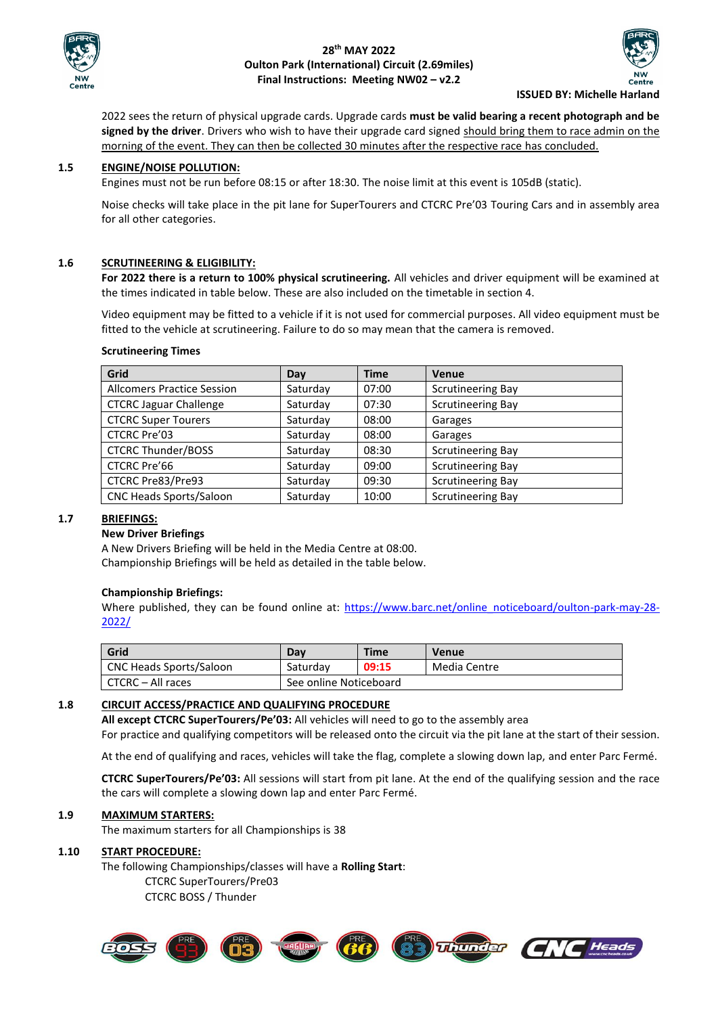



**ISSUED BY: Michelle Harland**

2022 sees the return of physical upgrade cards. Upgrade cards **must be valid bearing a recent photograph and be signed by the driver**. Drivers who wish to have their upgrade card signed should bring them to race admin on the morning of the event. They can then be collected 30 minutes after the respective race has concluded.

### **1.5 ENGINE/NOISE POLLUTION:**

Engines must not be run before 08:15 or after 18:30. The noise limit at this event is 105dB (static).

Noise checks will take place in the pit lane for SuperTourers and CTCRC Pre'03 Touring Cars and in assembly area for all other categories.

#### **1.6 SCRUTINEERING & ELIGIBILITY:**

**For 2022 there is a return to 100% physical scrutineering.** All vehicles and driver equipment will be examined at the times indicated in table below. These are also included on the timetable in section 4.

Video equipment may be fitted to a vehicle if it is not used for commercial purposes. All video equipment must be fitted to the vehicle at scrutineering. Failure to do so may mean that the camera is removed.

#### **Scrutineering Times**

| Grid                              | Day      | <b>Time</b> | <b>Venue</b>             |
|-----------------------------------|----------|-------------|--------------------------|
| <b>Allcomers Practice Session</b> | Saturday | 07:00       | <b>Scrutineering Bay</b> |
| <b>CTCRC Jaguar Challenge</b>     | Saturday | 07:30       | <b>Scrutineering Bay</b> |
| <b>CTCRC Super Tourers</b>        | Saturday | 08:00       | Garages                  |
| CTCRC Pre'03                      | Saturday | 08:00       | Garages                  |
| <b>CTCRC Thunder/BOSS</b>         | Saturday | 08:30       | <b>Scrutineering Bay</b> |
| <b>CTCRC Pre'66</b>               | Saturday | 09:00       | <b>Scrutineering Bay</b> |
| CTCRC Pre83/Pre93                 | Saturday | 09:30       | <b>Scrutineering Bay</b> |
| CNC Heads Sports/Saloon           | Saturday | 10:00       | <b>Scrutineering Bay</b> |

#### **1.7 BRIEFINGS:**

#### **New Driver Briefings**

A New Drivers Briefing will be held in the Media Centre at 08:00. Championship Briefings will be held as detailed in the table below.

#### **Championship Briefings:**

Where published, they can be found online at: [https://www.barc.net/online\\_noticeboard/oulton-park-may-28-](https://www.barc.net/online_noticeboard/oulton-park-may-28-2022/) [2022/](https://www.barc.net/online_noticeboard/oulton-park-may-28-2022/)

| Grid                    | Dav                    | Time  | Venue        |
|-------------------------|------------------------|-------|--------------|
| CNC Heads Sports/Saloon | Saturdav               | 09:15 | Media Centre |
| CTCRC - All races       | See online Noticeboard |       |              |

#### **1.8 CIRCUIT ACCESS/PRACTICE AND QUALIFYING PROCEDURE**

**All except CTCRC SuperTourers/Pe'03:** All vehicles will need to go to the assembly area For practice and qualifying competitors will be released onto the circuit via the pit lane at the start of their session.

At the end of qualifying and races, vehicles will take the flag, complete a slowing down lap, and enter Parc Fermé.

**CTCRC SuperTourers/Pe'03:** All sessions will start from pit lane. At the end of the qualifying session and the race the cars will complete a slowing down lap and enter Parc Fermé.

#### **1.9 MAXIMUM STARTERS:**

The maximum starters for all Championships is 38

#### **1.10 START PROCEDURE:**

The following Championships/classes will have a **Rolling Start**: CTCRC SuperTourers/Pre03 CTCRC BOSS / Thunder



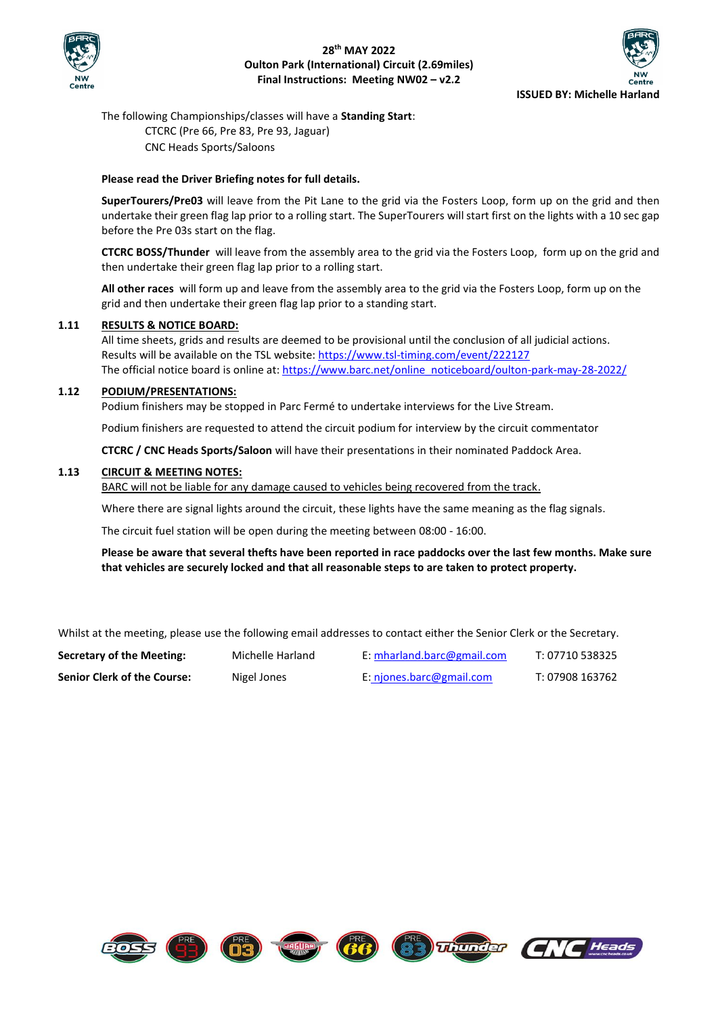



The following Championships/classes will have a **Standing Start**: CTCRC (Pre 66, Pre 83, Pre 93, Jaguar) CNC Heads Sports/Saloons

#### **Please read the Driver Briefing notes for full details.**

**SuperTourers/Pre03** will leave from the Pit Lane to the grid via the Fosters Loop, form up on the grid and then undertake their green flag lap prior to a rolling start. The SuperTourers will start first on the lights with a 10 sec gap before the Pre 03s start on the flag.

**CTCRC BOSS/Thunder** will leave from the assembly area to the grid via the Fosters Loop, form up on the grid and then undertake their green flag lap prior to a rolling start.

**All other races** will form up and leave from the assembly area to the grid via the Fosters Loop, form up on the grid and then undertake their green flag lap prior to a standing start.

#### **1.11 RESULTS & NOTICE BOARD:**

All time sheets, grids and results are deemed to be provisional until the conclusion of all judicial actions. Results will be available on the TSL website: <https://www.tsl-timing.com/event/222127> The official notice board is online at: [https://www.barc.net/online\\_noticeboard/oulton-park-may-28-2022/](https://www.barc.net/online_noticeboard/oulton-park-may-28-2022/)

### **1.12 PODIUM/PRESENTATIONS:**

Podium finishers may be stopped in Parc Fermé to undertake interviews for the Live Stream.

Podium finishers are requested to attend the circuit podium for interview by the circuit commentator

**CTCRC / CNC Heads Sports/Saloon** will have their presentations in their nominated Paddock Area.

#### **1.13 CIRCUIT & MEETING NOTES:**

BARC will not be liable for any damage caused to vehicles being recovered from the track.

Where there are signal lights around the circuit, these lights have the same meaning as the flag signals.

The circuit fuel station will be open during the meeting between 08:00 - 16:00.

**Please be aware that several thefts have been reported in race paddocks over the last few months. Make sure that vehicles are securely locked and that all reasonable steps to are taken to protect property.**

Whilst at the meeting, please use the following email addresses to contact either the Senior Clerk or the Secretary.

**Secretary of the Meeting:** Michelle Harland E: [mharland.barc@gmail.com](mailto:mharland.barc@gmail.com) T: 07710 538325 **Senior Clerk of the Course:** Nigel Jones **E**: [njones.barc@gmail.com](mailto:njones.barc@gmail.com) T: 07908 163762





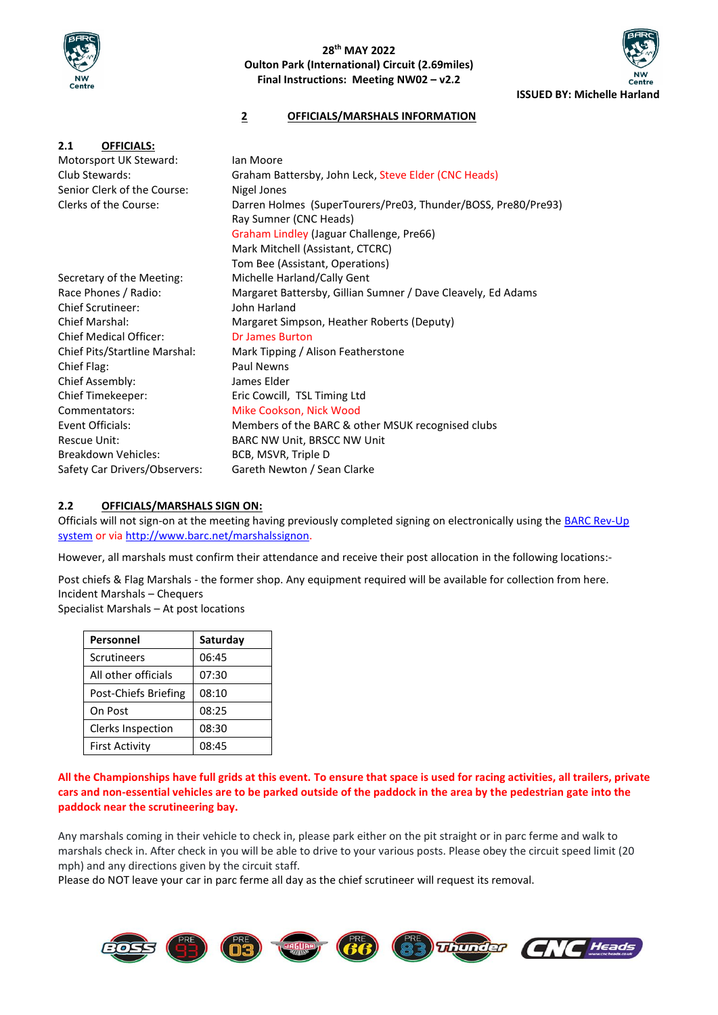



# **2 OFFICIALS/MARSHALS INFORMATION**

| 2.1<br><b>OFFICIALS:</b>      |                                                               |  |  |  |  |
|-------------------------------|---------------------------------------------------------------|--|--|--|--|
| Motorsport UK Steward:        | lan Moore                                                     |  |  |  |  |
| Club Stewards:                | Graham Battersby, John Leck, Steve Elder (CNC Heads)          |  |  |  |  |
| Senior Clerk of the Course:   | Nigel Jones                                                   |  |  |  |  |
| Clerks of the Course:         | Darren Holmes (SuperTourers/Pre03, Thunder/BOSS, Pre80/Pre93) |  |  |  |  |
|                               | Ray Sumner (CNC Heads)                                        |  |  |  |  |
|                               | Graham Lindley (Jaguar Challenge, Pre66)                      |  |  |  |  |
|                               | Mark Mitchell (Assistant, CTCRC)                              |  |  |  |  |
|                               | Tom Bee (Assistant, Operations)                               |  |  |  |  |
| Secretary of the Meeting:     | Michelle Harland/Cally Gent                                   |  |  |  |  |
| Race Phones / Radio:          | Margaret Battersby, Gillian Sumner / Dave Cleavely, Ed Adams  |  |  |  |  |
| <b>Chief Scrutineer:</b>      | John Harland                                                  |  |  |  |  |
| Chief Marshal:                | Margaret Simpson, Heather Roberts (Deputy)                    |  |  |  |  |
| <b>Chief Medical Officer:</b> | Dr James Burton                                               |  |  |  |  |
| Chief Pits/Startline Marshal: | Mark Tipping / Alison Featherstone                            |  |  |  |  |
| Chief Flag:                   | Paul Newns                                                    |  |  |  |  |
| Chief Assembly:               | James Elder                                                   |  |  |  |  |
| Chief Timekeeper:             | Eric Cowcill, TSL Timing Ltd                                  |  |  |  |  |
| Commentators:                 | Mike Cookson, Nick Wood                                       |  |  |  |  |
| Event Officials:              | Members of the BARC & other MSUK recognised clubs             |  |  |  |  |
| Rescue Unit:                  | BARC NW Unit, BRSCC NW Unit                                   |  |  |  |  |
| Breakdown Vehicles:           | BCB, MSVR, Triple D                                           |  |  |  |  |
| Safety Car Drivers/Observers: | Gareth Newton / Sean Clarke                                   |  |  |  |  |
|                               |                                                               |  |  |  |  |

### **2.2 OFFICIALS/MARSHALS SIGN ON:**

Officials will not sign-on at the meeting having previously completed signing on electronically using the BARC Rev-Up [system](about:blank) or via [http://www.barc.net/marshalssignon.](http://www.barc.net/marshalssignon)

However, all marshals must confirm their attendance and receive their post allocation in the following locations:-

Post chiefs & Flag Marshals - the former shop. Any equipment required will be available for collection from here. Incident Marshals – Chequers

Specialist Marshals – At post locations

| <b>Personnel</b>         | Saturday |
|--------------------------|----------|
| <b>Scrutineers</b>       | 06:45    |
| All other officials      | 07:30    |
| Post-Chiefs Briefing     | 08:10    |
| On Post                  | 08:25    |
| <b>Clerks Inspection</b> | 08:30    |
| <b>First Activity</b>    | 08:45    |

### **All the Championships have full grids at this event. To ensure that space is used for racing activities, all trailers, private cars and non-essential vehicles are to be parked outside of the paddock in the area by the pedestrian gate into the paddock near the scrutineering bay.**

Any marshals coming in their vehicle to check in, please park either on the pit straight or in parc ferme and walk to marshals check in. After check in you will be able to drive to your various posts. Please obey the circuit speed limit (20 mph) and any directions given by the circuit staff.

Please do NOT leave your car in parc ferme all day as the chief scrutineer will request its removal.

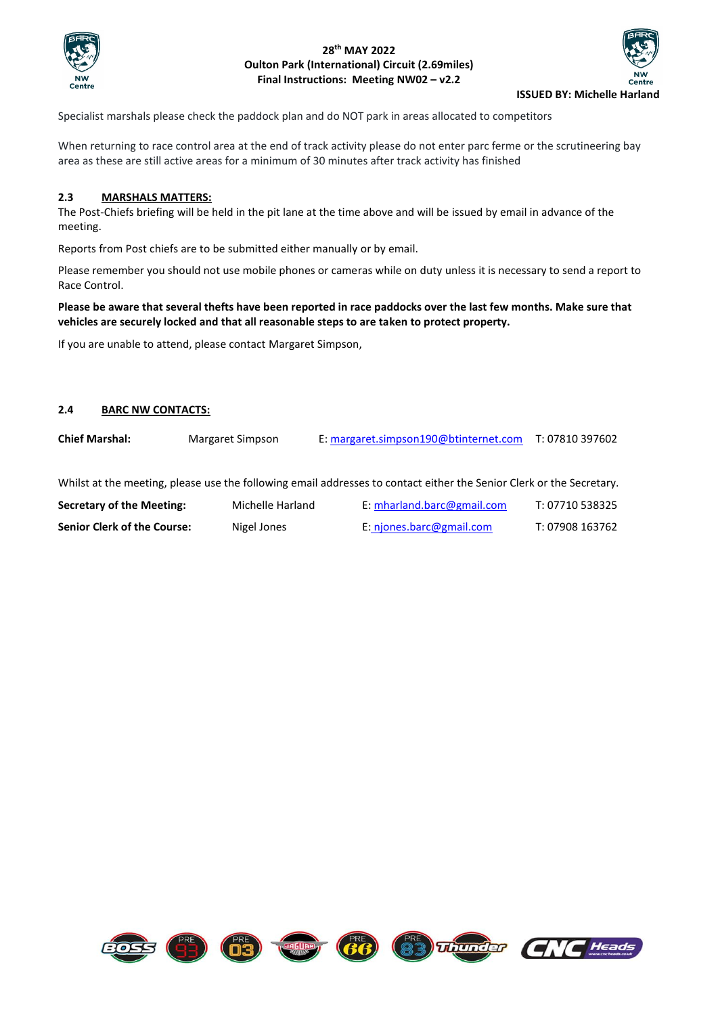



Specialist marshals please check the paddock plan and do NOT park in areas allocated to competitors

When returning to race control area at the end of track activity please do not enter parc ferme or the scrutineering bay area as these are still active areas for a minimum of 30 minutes after track activity has finished

#### **2.3 MARSHALS MATTERS:**

The Post-Chiefs briefing will be held in the pit lane at the time above and will be issued by email in advance of the meeting.

Reports from Post chiefs are to be submitted either manually or by email.

Please remember you should not use mobile phones or cameras while on duty unless it is necessary to send a report to Race Control.

### **Please be aware that several thefts have been reported in race paddocks over the last few months. Make sure that vehicles are securely locked and that all reasonable steps to are taken to protect property.**

If you are unable to attend, please contact Margaret Simpson,

#### **2.4 BARC NW CONTACTS:**

**Chief Marshal:** Margaret Simpson E: [margaret.simpson190@btinternet.com](mailto:margaret.simpson190@btinternet.com) T: 07810 397602

Whilst at the meeting, please use the following email addresses to contact either the Senior Clerk or the Secretary.

| Secretary of the Meeting:          | Michelle Harland | E: mharland.barc@gmail.com | T: 07710 538325 |
|------------------------------------|------------------|----------------------------|-----------------|
| <b>Senior Clerk of the Course:</b> | Nigel Jones      | E: njones.barc@gmail.com   | T: 07908 163762 |

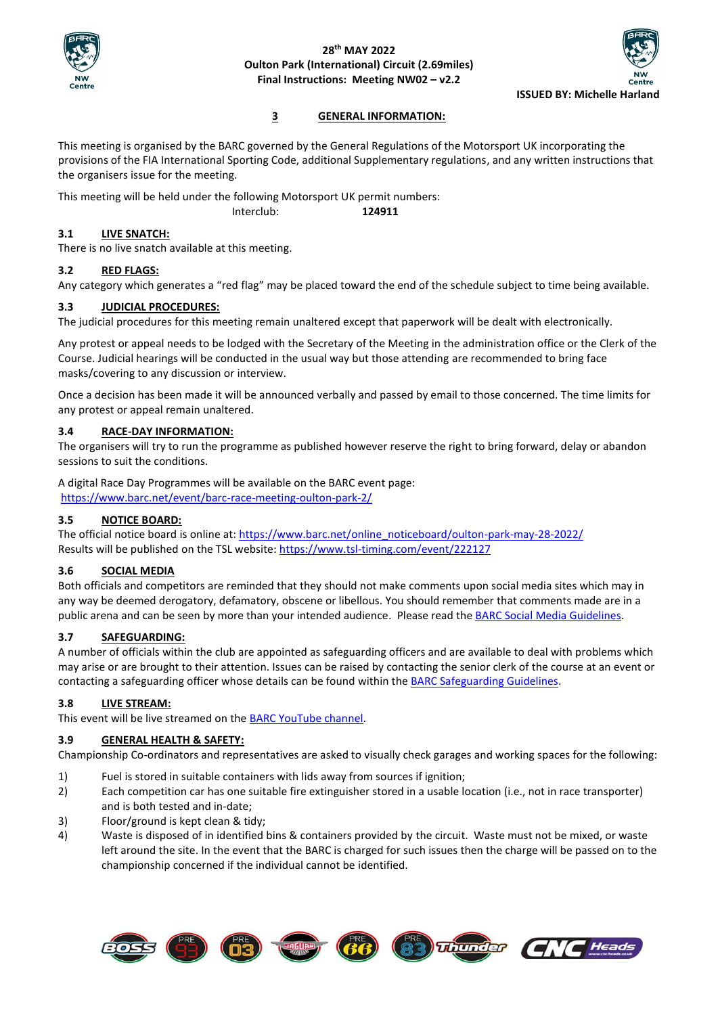



# **3 GENERAL INFORMATION:**

This meeting is organised by the BARC governed by the General Regulations of the Motorsport UK incorporating the provisions of the FIA International Sporting Code, additional Supplementary regulations, and any written instructions that the organisers issue for the meeting.

This meeting will be held under the following Motorsport UK permit numbers:

Interclub: **124911**

# **3.1 LIVE SNATCH:**

There is no live snatch available at this meeting.

# **3.2 RED FLAGS:**

Any category which generates a "red flag" may be placed toward the end of the schedule subject to time being available.

# **3.3 JUDICIAL PROCEDURES:**

The judicial procedures for this meeting remain unaltered except that paperwork will be dealt with electronically.

Any protest or appeal needs to be lodged with the Secretary of the Meeting in the administration office or the Clerk of the Course. Judicial hearings will be conducted in the usual way but those attending are recommended to bring face masks/covering to any discussion or interview.

Once a decision has been made it will be announced verbally and passed by email to those concerned. The time limits for any protest or appeal remain unaltered.

# **3.4 RACE-DAY INFORMATION:**

The organisers will try to run the programme as published however reserve the right to bring forward, delay or abandon sessions to suit the conditions.

A digital Race Day Programmes will be available on the BARC event page: <https://www.barc.net/event/barc-race-meeting-oulton-park-2/>

# **3.5 NOTICE BOARD:**

The official notice board is online at: [https://www.barc.net/online\\_noticeboard/oulton-park-may-28-2022/](https://www.barc.net/online_noticeboard/oulton-park-may-28-2022/) Results will be published on the TSL website:<https://www.tsl-timing.com/event/222127>

# **3.6 SOCIAL MEDIA**

Both officials and competitors are reminded that they should not make comments upon social media sites which may in any way be deemed derogatory, defamatory, obscene or libellous. You should remember that comments made are in a public arena and can be seen by more than your intended audience. Please read the [BARC Social Media Guidelines.](about:blank)

# **3.7 SAFEGUARDING:**

A number of officials within the club are appointed as safeguarding officers and are available to deal with problems which may arise or are brought to their attention. Issues can be raised by contacting the senior clerk of the course at an event or contacting a safeguarding officer whose details can be found within th[e BARC Safeguarding Guidelines.](about:blank)

# **3.8 LIVE STREAM:**

This event will be live streamed on the [BARC YouTube channel.](about:blank)

# **3.9 GENERAL HEALTH & SAFETY:**

Championship Co-ordinators and representatives are asked to visually check garages and working spaces for the following:

- 1) Fuel is stored in suitable containers with lids away from sources if ignition;
- 2) Each competition car has one suitable fire extinguisher stored in a usable location (i.e., not in race transporter) and is both tested and in-date;
- 3) Floor/ground is kept clean & tidy;
- 4) Waste is disposed of in identified bins & containers provided by the circuit. Waste must not be mixed, or waste left around the site. In the event that the BARC is charged for such issues then the charge will be passed on to the championship concerned if the individual cannot be identified.

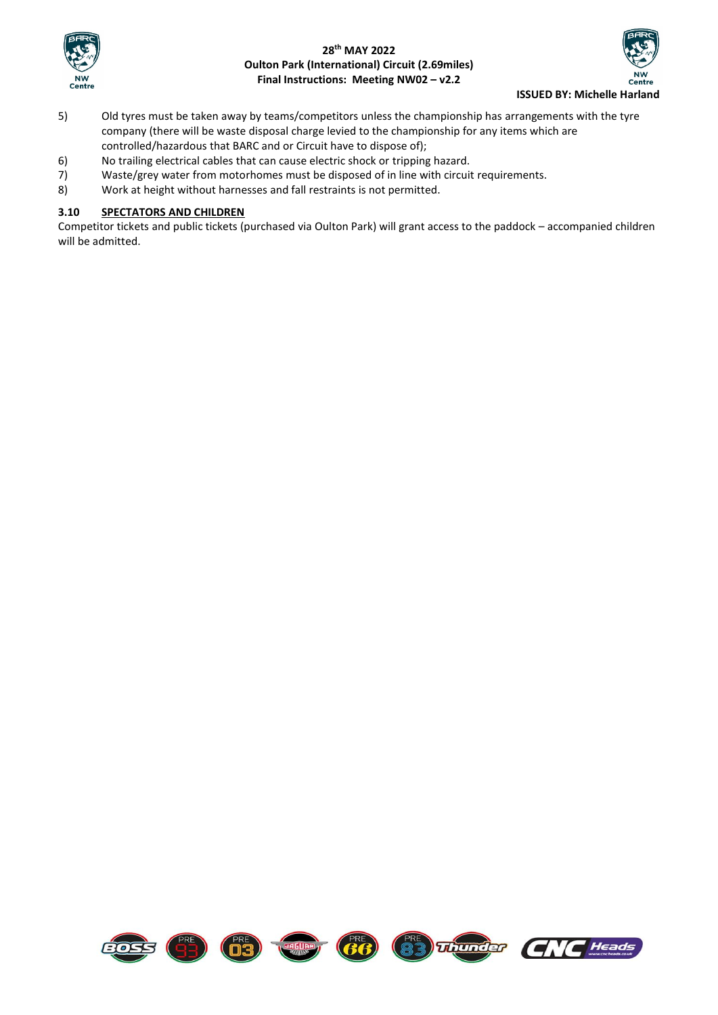



- 5) Old tyres must be taken away by teams/competitors unless the championship has arrangements with the tyre company (there will be waste disposal charge levied to the championship for any items which are controlled/hazardous that BARC and or Circuit have to dispose of);
- 6) No trailing electrical cables that can cause electric shock or tripping hazard.
- 7) Waste/grey water from motorhomes must be disposed of in line with circuit requirements.
- 8) Work at height without harnesses and fall restraints is not permitted.

# **3.10 SPECTATORS AND CHILDREN**

Competitor tickets and public tickets (purchased via Oulton Park) will grant access to the paddock – accompanied children will be admitted.

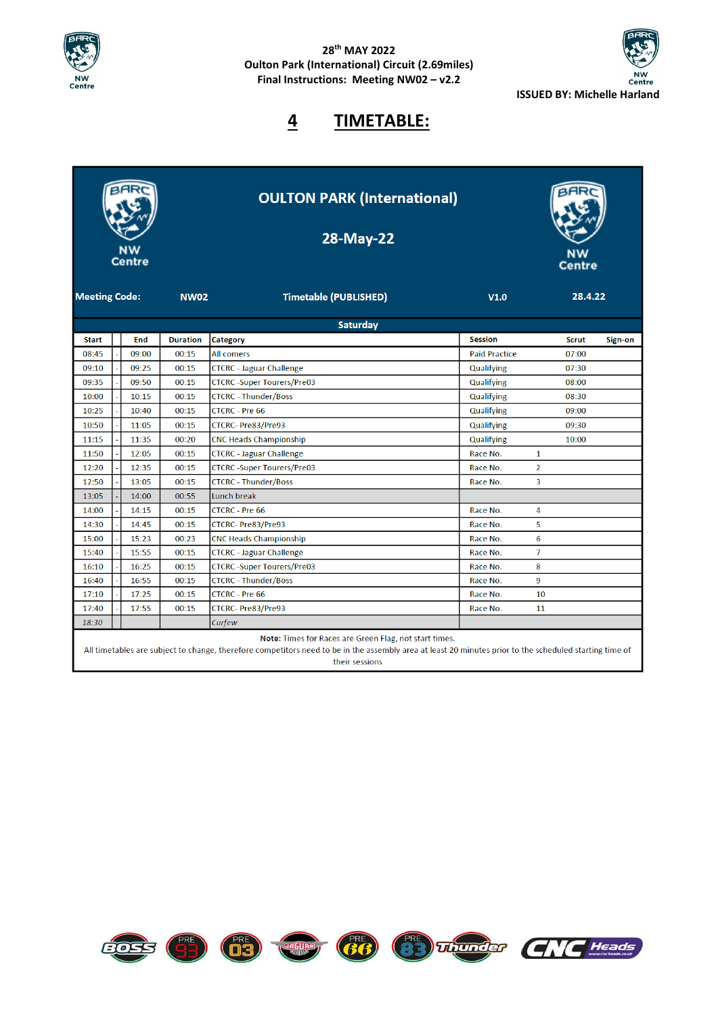



# **4 TIMETABLE:**

| <b>Saturday</b><br><b>Session</b><br><b>Duration</b><br><b>Category</b><br><b>Start</b><br><b>End</b><br><b>Scrut</b><br>Sign-on<br>00:15<br>08:45<br>09:00<br><b>All comers</b><br><b>Paid Practice</b><br>07:00<br><b>CTCRC</b> - Jaguar Challenge<br>09:10<br>09:25<br>Qualifying<br>07:30<br>00:15<br>09:50<br><b>CTCRC-Super Tourers/Pre03</b><br>09:35<br>00:15<br>Qualifying<br>08:00<br><b>CTCRC - Thunder/Boss</b><br>10:00<br>10:15<br>00:15<br>Qualifying<br>08:30<br>10:25<br>00:15<br><b>CTCRC - Pre 66</b><br>10:40<br>Qualifying<br>09:00<br>10:50<br>11:05<br>00:15<br>CTCRC-Pre83/Pre93<br>09:30<br>Qualifying<br>11:15<br>11:35<br>00:20<br><b>CNC Heads Championship</b><br>Qualifying<br>10:00<br>11:50<br><b>CTCRC</b> - Jaguar Challenge<br>12:05<br>00:15<br>Race No.<br>1<br><b>CTCRC-Super Tourers/Pre03</b><br>$\overline{2}$<br>12:20<br>12:35<br>00:15<br>Race No.<br>12:50<br><b>CTCRC - Thunder/Boss</b><br>13:05<br>00:15<br>Race No.<br>3<br>13:05<br>14:00<br>00:55<br>Lunch break<br>14:00<br>14:15<br>00:15<br><b>CTCRC - Pre 66</b><br>Race No.<br>4<br>5<br><b>CTCRC-Pre83/Pre93</b><br>14:30<br>14:45<br>00:15<br>Race No.<br>15:23<br>6<br>15:00<br>00:23<br><b>CNC Heads Championship</b><br>Race No.<br>$\overline{7}$<br>15:40<br>15:55<br>00:15<br><b>CTCRC</b> - Jaguar Challenge<br>Race No.<br><b>CTCRC-Super Tourers/Pre03</b><br>8<br>16:10<br>16:25<br>00:15<br>Race No.<br>9<br><b>CTCRC - Thunder/Boss</b><br>16:40<br>16:55<br>00:15<br>Race No.<br>17:10<br>17:25<br>00:15<br><b>CTCRC - Pre 66</b><br>10<br>Race No.<br><b>CTCRC-Pre83/Pre93</b><br>17:40<br>17:55<br>00:15<br>Race No.<br>11 | <b>Meeting Code:</b> | NW<br><b>Centre</b> | <b>NW02</b> | <b>OULTON PARK (International)</b><br>28-May-22<br><b>Timetable (PUBLISHED)</b> | V1.0 | <b>Centre</b><br>28.4.22 |  |
|-----------------------------------------------------------------------------------------------------------------------------------------------------------------------------------------------------------------------------------------------------------------------------------------------------------------------------------------------------------------------------------------------------------------------------------------------------------------------------------------------------------------------------------------------------------------------------------------------------------------------------------------------------------------------------------------------------------------------------------------------------------------------------------------------------------------------------------------------------------------------------------------------------------------------------------------------------------------------------------------------------------------------------------------------------------------------------------------------------------------------------------------------------------------------------------------------------------------------------------------------------------------------------------------------------------------------------------------------------------------------------------------------------------------------------------------------------------------------------------------------------------------------------------------------------------------------------------------------------------------------------------------------------|----------------------|---------------------|-------------|---------------------------------------------------------------------------------|------|--------------------------|--|
|                                                                                                                                                                                                                                                                                                                                                                                                                                                                                                                                                                                                                                                                                                                                                                                                                                                                                                                                                                                                                                                                                                                                                                                                                                                                                                                                                                                                                                                                                                                                                                                                                                                     |                      |                     |             |                                                                                 |      |                          |  |
|                                                                                                                                                                                                                                                                                                                                                                                                                                                                                                                                                                                                                                                                                                                                                                                                                                                                                                                                                                                                                                                                                                                                                                                                                                                                                                                                                                                                                                                                                                                                                                                                                                                     |                      |                     |             |                                                                                 |      |                          |  |
|                                                                                                                                                                                                                                                                                                                                                                                                                                                                                                                                                                                                                                                                                                                                                                                                                                                                                                                                                                                                                                                                                                                                                                                                                                                                                                                                                                                                                                                                                                                                                                                                                                                     |                      |                     |             |                                                                                 |      |                          |  |
|                                                                                                                                                                                                                                                                                                                                                                                                                                                                                                                                                                                                                                                                                                                                                                                                                                                                                                                                                                                                                                                                                                                                                                                                                                                                                                                                                                                                                                                                                                                                                                                                                                                     |                      |                     |             |                                                                                 |      |                          |  |
|                                                                                                                                                                                                                                                                                                                                                                                                                                                                                                                                                                                                                                                                                                                                                                                                                                                                                                                                                                                                                                                                                                                                                                                                                                                                                                                                                                                                                                                                                                                                                                                                                                                     |                      |                     |             |                                                                                 |      |                          |  |
|                                                                                                                                                                                                                                                                                                                                                                                                                                                                                                                                                                                                                                                                                                                                                                                                                                                                                                                                                                                                                                                                                                                                                                                                                                                                                                                                                                                                                                                                                                                                                                                                                                                     |                      |                     |             |                                                                                 |      |                          |  |
|                                                                                                                                                                                                                                                                                                                                                                                                                                                                                                                                                                                                                                                                                                                                                                                                                                                                                                                                                                                                                                                                                                                                                                                                                                                                                                                                                                                                                                                                                                                                                                                                                                                     |                      |                     |             |                                                                                 |      |                          |  |
|                                                                                                                                                                                                                                                                                                                                                                                                                                                                                                                                                                                                                                                                                                                                                                                                                                                                                                                                                                                                                                                                                                                                                                                                                                                                                                                                                                                                                                                                                                                                                                                                                                                     |                      |                     |             |                                                                                 |      |                          |  |
|                                                                                                                                                                                                                                                                                                                                                                                                                                                                                                                                                                                                                                                                                                                                                                                                                                                                                                                                                                                                                                                                                                                                                                                                                                                                                                                                                                                                                                                                                                                                                                                                                                                     |                      |                     |             |                                                                                 |      |                          |  |
|                                                                                                                                                                                                                                                                                                                                                                                                                                                                                                                                                                                                                                                                                                                                                                                                                                                                                                                                                                                                                                                                                                                                                                                                                                                                                                                                                                                                                                                                                                                                                                                                                                                     |                      |                     |             |                                                                                 |      |                          |  |
|                                                                                                                                                                                                                                                                                                                                                                                                                                                                                                                                                                                                                                                                                                                                                                                                                                                                                                                                                                                                                                                                                                                                                                                                                                                                                                                                                                                                                                                                                                                                                                                                                                                     |                      |                     |             |                                                                                 |      |                          |  |
|                                                                                                                                                                                                                                                                                                                                                                                                                                                                                                                                                                                                                                                                                                                                                                                                                                                                                                                                                                                                                                                                                                                                                                                                                                                                                                                                                                                                                                                                                                                                                                                                                                                     |                      |                     |             |                                                                                 |      |                          |  |
|                                                                                                                                                                                                                                                                                                                                                                                                                                                                                                                                                                                                                                                                                                                                                                                                                                                                                                                                                                                                                                                                                                                                                                                                                                                                                                                                                                                                                                                                                                                                                                                                                                                     |                      |                     |             |                                                                                 |      |                          |  |
|                                                                                                                                                                                                                                                                                                                                                                                                                                                                                                                                                                                                                                                                                                                                                                                                                                                                                                                                                                                                                                                                                                                                                                                                                                                                                                                                                                                                                                                                                                                                                                                                                                                     |                      |                     |             |                                                                                 |      |                          |  |
|                                                                                                                                                                                                                                                                                                                                                                                                                                                                                                                                                                                                                                                                                                                                                                                                                                                                                                                                                                                                                                                                                                                                                                                                                                                                                                                                                                                                                                                                                                                                                                                                                                                     |                      |                     |             |                                                                                 |      |                          |  |
|                                                                                                                                                                                                                                                                                                                                                                                                                                                                                                                                                                                                                                                                                                                                                                                                                                                                                                                                                                                                                                                                                                                                                                                                                                                                                                                                                                                                                                                                                                                                                                                                                                                     |                      |                     |             |                                                                                 |      |                          |  |
|                                                                                                                                                                                                                                                                                                                                                                                                                                                                                                                                                                                                                                                                                                                                                                                                                                                                                                                                                                                                                                                                                                                                                                                                                                                                                                                                                                                                                                                                                                                                                                                                                                                     |                      |                     |             |                                                                                 |      |                          |  |
|                                                                                                                                                                                                                                                                                                                                                                                                                                                                                                                                                                                                                                                                                                                                                                                                                                                                                                                                                                                                                                                                                                                                                                                                                                                                                                                                                                                                                                                                                                                                                                                                                                                     |                      |                     |             |                                                                                 |      |                          |  |
|                                                                                                                                                                                                                                                                                                                                                                                                                                                                                                                                                                                                                                                                                                                                                                                                                                                                                                                                                                                                                                                                                                                                                                                                                                                                                                                                                                                                                                                                                                                                                                                                                                                     |                      |                     |             |                                                                                 |      |                          |  |
|                                                                                                                                                                                                                                                                                                                                                                                                                                                                                                                                                                                                                                                                                                                                                                                                                                                                                                                                                                                                                                                                                                                                                                                                                                                                                                                                                                                                                                                                                                                                                                                                                                                     |                      |                     |             |                                                                                 |      |                          |  |
|                                                                                                                                                                                                                                                                                                                                                                                                                                                                                                                                                                                                                                                                                                                                                                                                                                                                                                                                                                                                                                                                                                                                                                                                                                                                                                                                                                                                                                                                                                                                                                                                                                                     |                      |                     |             |                                                                                 |      |                          |  |
| 18:30<br>Curfew                                                                                                                                                                                                                                                                                                                                                                                                                                                                                                                                                                                                                                                                                                                                                                                                                                                                                                                                                                                                                                                                                                                                                                                                                                                                                                                                                                                                                                                                                                                                                                                                                                     |                      |                     |             |                                                                                 |      |                          |  |

Note: Times for Races are Green Flag, not start times.

**FRE** (D3) **Red** (B6)

All timetables are subject to change, therefore competitors need to be in the assembly area at least 20 minutes prior to the scheduled starting time of their sessions

83 Thundar

 $\overline{G}$ 

Heads

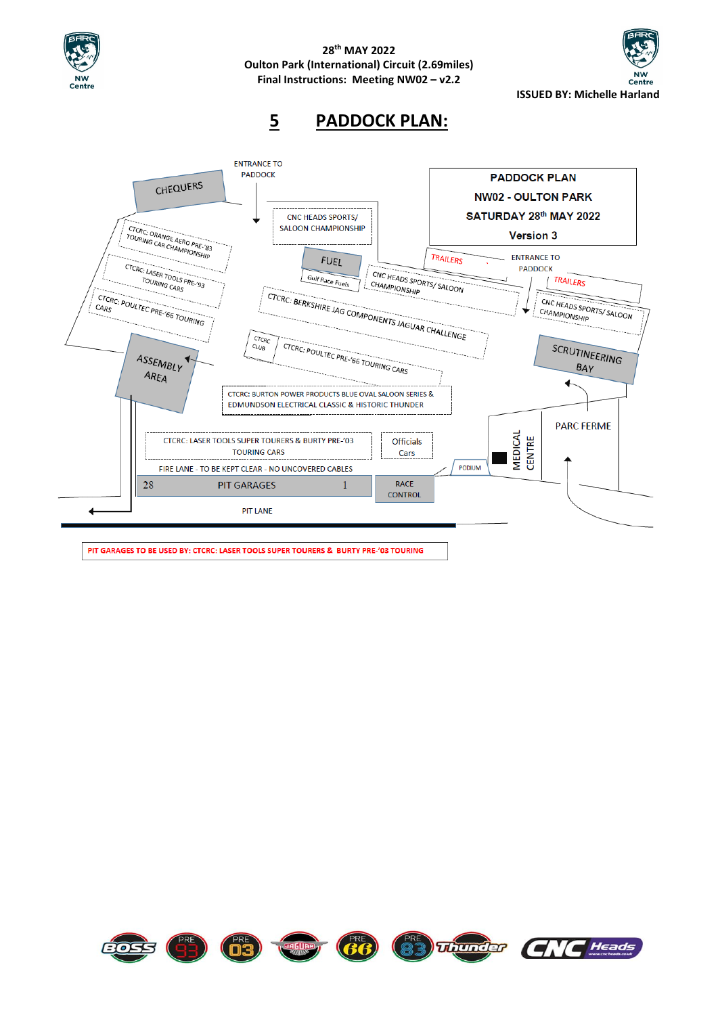

**ISSUED BY: Michelle Harland**

**5 PADDOCK PLAN:**



PIT GARAGES TO BE USED BY: CTCRC: LASER TOOLS SUPER TOURERS & BURTY PRE-'03 TOURING